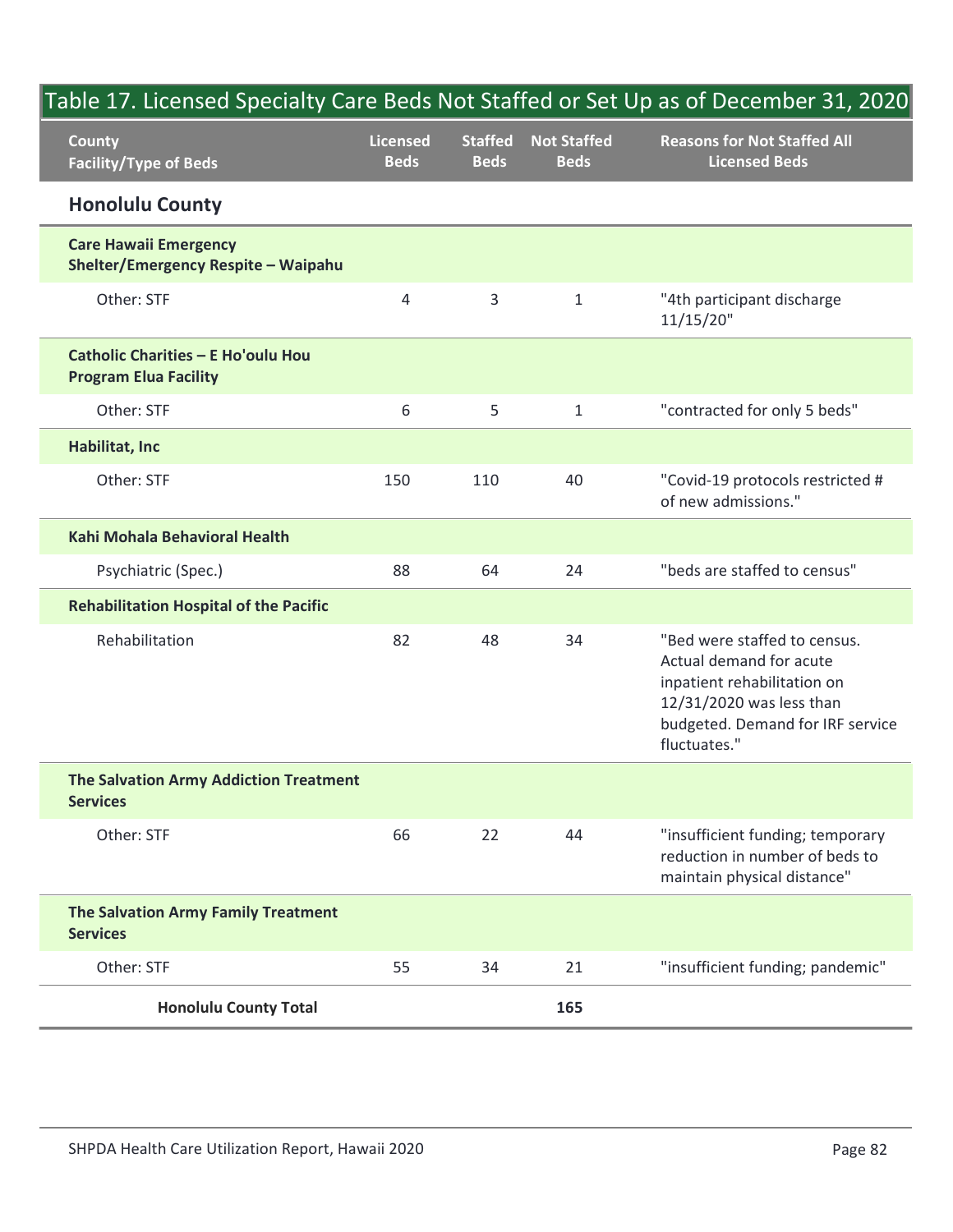|                                                                     |                                |                               |                                   | Table 17. Licensed Specialty Care Beds Not Staffed or Set Up as of December 31, 2020                                                                                   |
|---------------------------------------------------------------------|--------------------------------|-------------------------------|-----------------------------------|------------------------------------------------------------------------------------------------------------------------------------------------------------------------|
| <b>County</b><br><b>Facility/Type of Beds</b>                       | <b>Licensed</b><br><b>Beds</b> | <b>Staffed</b><br><b>Beds</b> | <b>Not Staffed</b><br><b>Beds</b> | <b>Reasons for Not Staffed All</b><br><b>Licensed Beds</b>                                                                                                             |
| <b>Honolulu County</b>                                              |                                |                               |                                   |                                                                                                                                                                        |
| <b>Care Hawaii Emergency</b><br>Shelter/Emergency Respite - Waipahu |                                |                               |                                   |                                                                                                                                                                        |
| Other: STF                                                          | $\overline{4}$                 | 3                             | $\mathbf{1}$                      | "4th participant discharge<br>11/15/20"                                                                                                                                |
| Catholic Charities - E Ho'oulu Hou<br><b>Program Elua Facility</b>  |                                |                               |                                   |                                                                                                                                                                        |
| Other: STF                                                          | 6                              | 5                             | $\mathbf{1}$                      | "contracted for only 5 beds"                                                                                                                                           |
| Habilitat, Inc                                                      |                                |                               |                                   |                                                                                                                                                                        |
| Other: STF                                                          | 150                            | 110                           | 40                                | "Covid-19 protocols restricted #<br>of new admissions."                                                                                                                |
| Kahi Mohala Behavioral Health                                       |                                |                               |                                   |                                                                                                                                                                        |
| Psychiatric (Spec.)                                                 | 88                             | 64                            | 24                                | "beds are staffed to census"                                                                                                                                           |
| <b>Rehabilitation Hospital of the Pacific</b>                       |                                |                               |                                   |                                                                                                                                                                        |
| Rehabilitation                                                      | 82                             | 48                            | 34                                | "Bed were staffed to census.<br>Actual demand for acute<br>inpatient rehabilitation on<br>12/31/2020 was less than<br>budgeted. Demand for IRF service<br>fluctuates." |
| The Salvation Army Addiction Treatment<br><b>Services</b>           |                                |                               |                                   |                                                                                                                                                                        |
| Other: STF                                                          | 66                             | 22                            | 44                                | "insufficient funding; temporary<br>reduction in number of beds to<br>maintain physical distance"                                                                      |
| The Salvation Army Family Treatment<br><b>Services</b>              |                                |                               |                                   |                                                                                                                                                                        |
| Other: STF                                                          | 55                             | 34                            | 21                                | "insufficient funding; pandemic"                                                                                                                                       |
| <b>Honolulu County Total</b>                                        |                                |                               | 165                               |                                                                                                                                                                        |